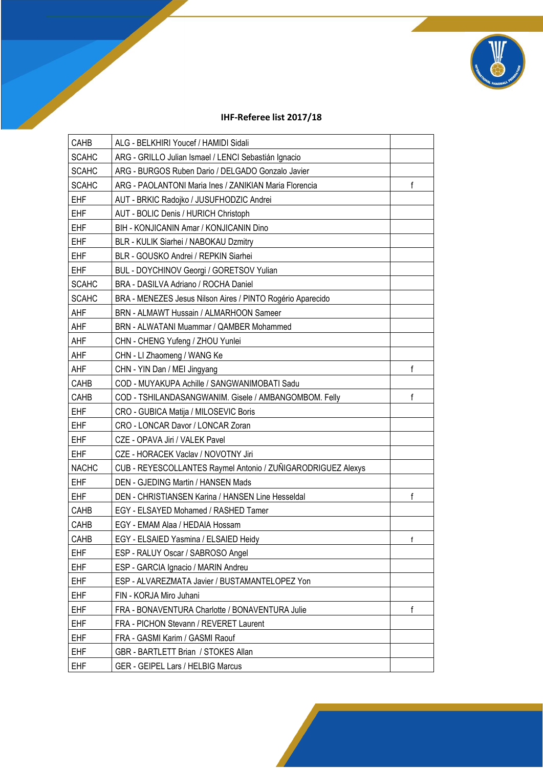

## **IHF-Referee list 2017/18**

| CAHB         | ALG - BELKHIRI Youcef / HAMIDI Sidali                        |    |
|--------------|--------------------------------------------------------------|----|
| <b>SCAHC</b> | ARG - GRILLO Julian Ismael / LENCI Sebastián Ignacio         |    |
| <b>SCAHC</b> | ARG - BURGOS Ruben Dario / DELGADO Gonzalo Javier            |    |
| <b>SCAHC</b> | ARG - PAOLANTONI Maria Ines / ZANIKIAN Maria Florencia       | f  |
| <b>EHF</b>   | AUT - BRKIC Radojko / JUSUFHODZIC Andrei                     |    |
| <b>EHF</b>   | AUT - BOLIC Denis / HURICH Christoph                         |    |
| <b>EHF</b>   | BIH - KONJICANIN Amar / KONJICANIN Dino                      |    |
| <b>EHF</b>   | BLR - KULIK Siarhei / NABOKAU Dzmitry                        |    |
| <b>EHF</b>   | BLR - GOUSKO Andrei / REPKIN Siarhei                         |    |
| <b>EHF</b>   | <b>BUL - DOYCHINOV Georgi / GORETSOV Yulian</b>              |    |
| <b>SCAHC</b> | BRA - DASILVA Adriano / ROCHA Daniel                         |    |
| <b>SCAHC</b> | BRA - MENEZES Jesus Nilson Aires / PINTO Rogério Aparecido   |    |
| AHF          | BRN - ALMAWT Hussain / ALMARHOON Sameer                      |    |
| AHF          | BRN - ALWATANI Muammar / QAMBER Mohammed                     |    |
| AHF          | CHN - CHENG Yufeng / ZHOU Yunlei                             |    |
| AHF          | CHN - LI Zhaomeng / WANG Ke                                  |    |
| AHF          | CHN - YIN Dan / MEI Jingyang                                 | f  |
| CAHB         | COD - MUYAKUPA Achille / SANGWANIMOBATI Sadu                 |    |
| CAHB         | COD - TSHILANDASANGWANIM. Gisele / AMBANGOMBOM. Felly        | f  |
| <b>EHF</b>   | CRO - GUBICA Matija / MILOSEVIC Boris                        |    |
| <b>EHF</b>   | CRO - LONCAR Davor / LONCAR Zoran                            |    |
| <b>EHF</b>   | CZE - OPAVA Jiri / VALEK Pavel                               |    |
| <b>EHF</b>   | CZE - HORACEK Vaclav / NOVOTNY Jiri                          |    |
| <b>NACHC</b> | CUB - REYESCOLLANTES Raymel Antonio / ZUÑIGARODRIGUEZ Alexys |    |
| <b>EHF</b>   | DEN - GJEDING Martin / HANSEN Mads                           |    |
| <b>EHF</b>   | DEN - CHRISTIANSEN Karina / HANSEN Line Hesseldal            | f  |
| CAHB         | EGY - ELSAYED Mohamed / RASHED Tamer                         |    |
| CAHB         | EGY - EMAM Alaa / HEDAIA Hossam                              |    |
| CAHB         | EGY - ELSAIED Yasmina / ELSAIED Heidy                        | Ť. |
| <b>EHF</b>   | ESP - RALUY Oscar / SABROSO Angel                            |    |
| <b>EHF</b>   | ESP - GARCIA Ignacio / MARIN Andreu                          |    |
| <b>EHF</b>   | ESP - ALVAREZMATA Javier / BUSTAMANTELOPEZ Yon               |    |
| <b>EHF</b>   | FIN - KORJA Miro Juhani                                      |    |
| <b>EHF</b>   | FRA - BONAVENTURA Charlotte / BONAVENTURA Julie              | f  |
| <b>EHF</b>   | FRA - PICHON Stevann / REVERET Laurent                       |    |
| <b>EHF</b>   | FRA - GASMI Karim / GASMI Raouf                              |    |
| <b>EHF</b>   | GBR - BARTLETT Brian / STOKES Allan                          |    |
| <b>EHF</b>   | GER - GEIPEL Lars / HELBIG Marcus                            |    |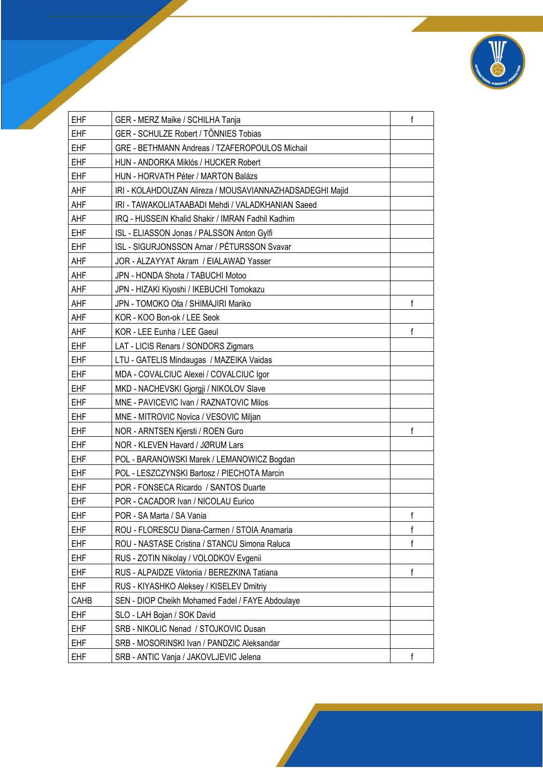

| <b>EHF</b> | GER - MERZ Maike / SCHILHA Tanja                         | f |
|------------|----------------------------------------------------------|---|
| <b>EHF</b> | GER - SCHULZE Robert / TÖNNIES Tobias                    |   |
| <b>EHF</b> | GRE - BETHMANN Andreas / TZAFEROPOULOS Michail           |   |
| <b>EHF</b> | HUN - ANDORKA Miklós / HUCKER Robert                     |   |
| <b>EHF</b> | HUN - HORVATH Péter / MARTON Balázs                      |   |
| AHF        | IRI - KOLAHDOUZAN Alireza / MOUSAVIANNAZHADSADEGHI Majid |   |
| AHF        | IRI - TAWAKOLIATAABADI Mehdi / VALADKHANIAN Saeed        |   |
| AHF        | IRQ - HUSSEIN Khalid Shakir / IMRAN Fadhil Kadhim        |   |
| <b>EHF</b> | ISL - ELIASSON Jonas / PALSSON Anton Gylfi               |   |
| <b>EHF</b> | ISL - SIGURJONSSON Arnar / PÉTURSSON Svavar              |   |
| AHF        | JOR - ALZAYYAT Akram / EIALAWAD Yasser                   |   |
| AHF        | JPN - HONDA Shota / TABUCHI Motoo                        |   |
| AHF        | JPN - HIZAKI Kiyoshi / IKEBUCHI Tomokazu                 |   |
| AHF        | JPN - TOMOKO Ota / SHIMAJIRI Mariko                      | f |
| AHF        | KOR - KOO Bon-ok / LEE Seok                              |   |
| AHF        | KOR - LEE Eunha / LEE Gaeul                              | f |
| <b>EHF</b> | LAT - LICIS Renars / SONDORS Zigmars                     |   |
| <b>EHF</b> | LTU - GATELIS Mindaugas / MAZEIKA Vaidas                 |   |
| <b>EHF</b> | MDA - COVALCIUC Alexei / COVALCIUC Igor                  |   |
| <b>EHF</b> | MKD - NACHEVSKI Gjorgji / NIKOLOV Slave                  |   |
| <b>EHF</b> | MNE - PAVICEVIC Ivan / RAZNATOVIC Milos                  |   |
| <b>EHF</b> | MNE - MITROVIC Novica / VESOVIC Miljan                   |   |
| <b>EHF</b> | NOR - ARNTSEN Kjersti / ROEN Guro                        | f |
| <b>EHF</b> | NOR - KLEVEN Havard / JØRUM Lars                         |   |
| <b>EHF</b> | POL - BARANOWSKI Marek / LEMANOWICZ Bogdan               |   |
| <b>EHF</b> | POL - LESZCZYNSKI Bartosz / PIECHOTA Marcin              |   |
| <b>EHF</b> | POR - FONSECA Ricardo / SANTOS Duarte                    |   |
| <b>EHF</b> | POR - CACADOR Ivan / NICOLAU Eurico                      |   |
| <b>EHF</b> | POR - SA Marta / SA Vania                                | f |
| EHF        | ROU - FLORESCU Diana-Carmen / STOIA Anamaria             | f |
| <b>EHF</b> | ROU - NASTASE Cristina / STANCU Simona Raluca            | f |
| <b>EHF</b> | RUS - ZOTIN Nikolay / VOLODKOV Evgenii                   |   |
| <b>EHF</b> | RUS - ALPAIDZE Viktoriia / BEREZKINA Tatiana             | f |
| <b>EHF</b> | RUS - KIYASHKO Aleksey / KISELEV Dmitriy                 |   |
| CAHB       | SEN - DIOP Cheikh Mohamed Fadel / FAYE Abdoulaye         |   |
| <b>EHF</b> | SLO - LAH Bojan / SOK David                              |   |
| <b>EHF</b> | SRB - NIKOLIC Nenad / STOJKOVIC Dusan                    |   |
| <b>EHF</b> | SRB - MOSORINSKI Ivan / PANDZIC Aleksandar               |   |
| <b>EHF</b> | SRB - ANTIC Vanja / JAKOVLJEVIC Jelena                   | f |
|            |                                                          |   |